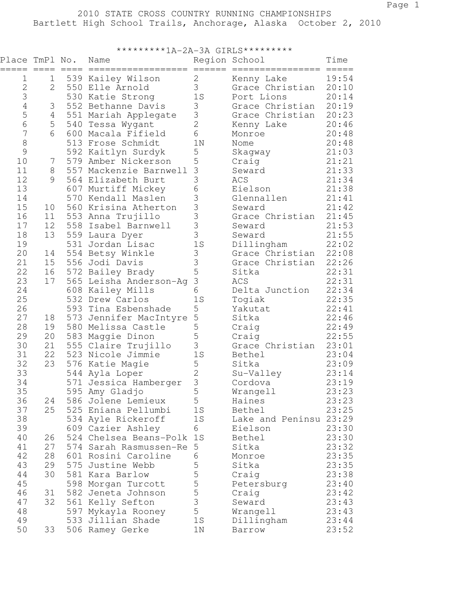| *********1A-2A-3A GIRLS********* |                        |            |                                         |                                       |                                   |                    |
|----------------------------------|------------------------|------------|-----------------------------------------|---------------------------------------|-----------------------------------|--------------------|
| =====                            | Place TmPl No.<br>==== | $== == =$  | Name<br>=============================   |                                       | Region School<br>================ | Time<br>$== == ==$ |
| 1                                | $\mathbf 1$            |            | 539 Kailey Wilson                       | $\overline{2}$                        | Kenny Lake                        | 19:54              |
| $\overline{2}$                   | $\mathbf{2}$           |            | 550 Elle Arnold                         | 3                                     | Grace Christian                   | 20:10              |
| 3                                |                        |            | 530 Katie Strong                        | 1S                                    | Port Lions                        | 20:14              |
| $\overline{4}$                   | 3                      |            | 552 Bethanne Davis                      | 3                                     | Grace Christian                   | 20:19              |
| 5                                | 4                      |            | 551 Mariah Applegate                    | 3                                     | Grace Christian                   | 20:23              |
| $6\phantom{a}$                   | 5                      | 540        | Tessa Wygant                            | $\overline{2}$                        | Kenny Lake                        | 20:46              |
| $\overline{7}$                   | 6                      | 600        | Macala Fifield                          | 6                                     | Monroe                            | 20:48              |
| $\,8\,$                          |                        |            | 513 Frose Schmidt                       | 1 <sub>N</sub>                        | Nome                              | 20:48              |
| 9                                |                        |            | 592 Kaitlyn Surdyk                      | 5                                     | Skagway                           | 21:03              |
| 10                               | 7                      | 579        | Amber Nickerson                         | 5                                     | Craig                             | 21:21              |
| 11                               | 8                      |            | 557 Mackenzie Barnwell                  | 3                                     | Seward                            | 21:33              |
| 12                               | 9                      |            | 564 Elizabeth Burt                      | 3                                     | ACS                               | 21:34              |
| 13                               |                        |            | 607 Murtiff Mickey                      | 6                                     | Eielson                           | 21:38              |
| 14                               |                        |            | 570 Kendall Maslen                      | 3                                     | Glennallen                        | 21:41              |
| 15                               | 10                     |            | 560 Krisina Atherton                    | 3                                     | Seward                            | 21:42              |
| 16                               | 11                     |            | 553 Anna Trujillo                       | $\begin{array}{c} 3 \\ 3 \end{array}$ | Grace Christian                   | 21:45              |
| 17                               | 12                     | 558        | Isabel Barnwell                         |                                       | Seward                            | 21:53              |
| 18                               | 13                     | 559        | Laura Dyer                              |                                       | Seward                            | 21:55              |
| 19                               |                        |            | 531 Jordan Lisac                        | 1S                                    | Dillingham                        | 22:02              |
| 20                               | 14                     |            | 554 Betsy Winkle                        | 3                                     | Grace Christian                   | 22:08              |
| 21                               | 15                     | 556        | Jodi Davis                              | 3                                     | Grace Christian                   | 22:26              |
| 22                               | 16                     |            | 572 Bailey Brady                        | 5                                     | Sitka                             | 22:31              |
| 23                               | 17                     | 565        | Leisha Anderson-Aq                      | 3                                     | ACS                               | 22:31              |
| 24                               |                        |            | 608 Kailey Mills                        | 6                                     | Delta Junction                    | 22:34              |
| 25                               |                        |            | 532 Drew Carlos                         | 1S                                    | Togiak                            | 22:35              |
| 26                               |                        |            | 593 Tina Esbenshade                     | 5                                     | Yakutat                           | 22:41              |
| 27                               | 18                     | 573        | Jennifer MacIntyre                      | 5                                     | Sitka                             | 22:46              |
| 28                               | 19                     | 580        | Melissa Castle                          | 5                                     | Craig                             | 22:49              |
| 29                               | 20                     | 583        | Maggie Dinon                            | 5<br>3                                | Craig                             | 22:55              |
| 30                               | 21                     |            | 555 Claire Trujillo                     |                                       | Grace Christian                   | 23:01              |
| 31<br>32                         | 22<br>23               | 523<br>576 | Nicole Jimmie                           | 1S<br>5                               | Bethel<br>Sitka                   | 23:04              |
| 33                               |                        |            | Katie Magie                             | $\overline{2}$                        |                                   | 23:09<br>23:14     |
| 34                               |                        |            | 544 Ayla Loper<br>571 Jessica Hamberger | 3                                     | Su-Valley<br>Cordova              | 23:19              |
| 35                               |                        | 595        | Amy Gladjo                              | 5                                     | Wrangell                          | 23:23              |
| 36                               | 24                     |            | 586 Jolene Lemieux                      | 5                                     | Haines                            | 23:23              |
| 37                               | 25                     |            | 525 Eniana Pellumbi                     | 1S                                    | Bethel                            | 23:25              |
| 38                               |                        |            | 534 Ayle Rickeroff                      | 1S                                    | Lake and Peninsu 23:29            |                    |
| 39                               |                        |            | 609 Cazier Ashley                       | 6                                     | Eielson                           | 23:30              |
| 40                               | 26                     |            | 524 Chelsea Beans-Polk                  | 1S                                    | Bethel                            | 23:30              |
| 41                               | 27                     |            | 574 Sarah Rasmussen-Re                  | 5                                     | Sitka                             | 23:32              |
| 42                               | 28                     |            | 601 Rosini Caroline                     | 6                                     | Monroe                            | 23:35              |
| 43                               | 29                     | 575        | Justine Webb                            | 5                                     | Sitka                             | 23:35              |
| 44                               | 30                     |            | 581 Kara Barlow                         | 5                                     | Craig                             | 23:38              |
| 45                               |                        |            | 598 Morgan Turcott                      | 5                                     | Petersburg                        | 23:40              |
| 46                               | 31                     |            | 582 Jeneta Johnson                      | 5                                     | Craig                             | 23:42              |
| 47                               | 32                     |            | 561 Kelly Sefton                        | 3                                     | Seward                            | 23:43              |
| 48                               |                        | 597        | Mykayla Rooney                          | 5                                     | Wrangell                          | 23:43              |
| 49                               |                        |            | 533 Jillian Shade                       | 1S                                    | Dillingham                        | 23:44              |
| 50                               | 33                     |            | 506 Ramey Gerke                         | $1N$                                  | Barrow                            | 23:52              |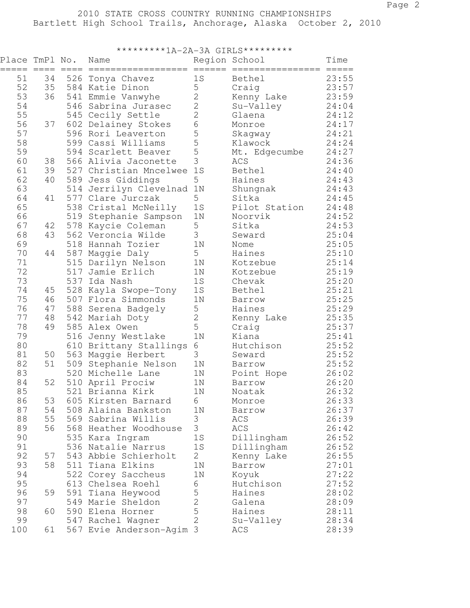| *********1A-2A-3A GIRLS********* |    |           |                           |                |                  |                       |
|----------------------------------|----|-----------|---------------------------|----------------|------------------|-----------------------|
| Place TmPl No.<br>===== ====     |    | $== == =$ | Name                      | Region School  | ================ | Time<br>$== == == ==$ |
| 51                               | 34 | 526       | Tonya Chavez              | 1S             | Bethel           | 23:55                 |
| 52                               | 35 |           | 584 Katie Dinon           | 5              | Craig            | 23:57                 |
| 53                               | 36 | 541       | Emmie Vanwyhe             | $\mathbf{2}$   | Kenny Lake       | 23:59                 |
| 54                               |    | 546       | Sabrina Jurasec           | $\mathbf{2}$   | Su-Valley        | 24:04                 |
| 55                               |    | 545       | Cecily Settle             | $\overline{2}$ | Glaena           | 24:12                 |
| 56                               | 37 |           | 602 Delainey Stokes       | 6              | Monroe           | 24:17                 |
| 57                               |    |           | 596 Rori Leaverton        | 5              | Skagway          | 24:21                 |
| 58                               |    | 599       | Cassi Williams            | 5              | Klawock          | 24:24                 |
| 59                               |    |           | 594 Scarlett Beaver       | 5              | Mt. Edgecumbe    | 24:27                 |
| 60                               | 38 |           | 566 Alivia Jaconette      | 3              | ACS              | 24:36                 |
| 61                               | 39 |           | 527 Christian Mncelwee    | 1S             | Bethel           | 24:40                 |
| 62                               | 40 | 589       | Jess Giddings             | 5              | Haines           | 24:43                 |
| 63                               |    |           | 514 Jerrilyn Clevelnad 1N |                | Shungnak         | 24:43                 |
| 64                               | 41 |           | 577 Clare Jurczak         | 5              | Sitka            | 24:45                 |
| 65                               |    |           | 538 Cristal McNeilly      | 1S             | Pilot Station    | 24:48                 |
| 66                               |    | 519       | Stephanie Sampson         | 1 <sub>N</sub> | Noorvik          | 24:52                 |
| 67                               | 42 | 578       | Kaycie Coleman            | 5              | Sitka            | 24:53                 |
| 68                               | 43 |           | 562 Veroncia Wilde        | 3              | Seward           | 25:04                 |
| 69                               |    | 518       | Hannah Tozier             | 1 <sub>N</sub> | Nome             | 25:05                 |
| 70                               | 44 | 587       | Maggie Daly               | 5              | Haines           | 25:10                 |
| 71                               |    | 515       | Darilyn Nelson            | 1 <sub>N</sub> | Kotzebue         | 25:14                 |
| 72                               |    | 517       | Jamie Erlich              | 1 <sub>N</sub> | Kotzebue         | 25:19                 |
| 73                               |    | 537       | Ida Nash                  | 1S             | Chevak           | 25:20                 |
| 74                               | 45 | 528       | Kayla Swope-Tony          | 1S             | Bethel           | 25:21                 |
| 75                               | 46 |           | 507 Flora Simmonds        | 1 <sub>N</sub> | Barrow           | 25:25                 |
| 76                               | 47 | 588       | Serena Badgely            | 5              | Haines           | 25:29                 |
| 77                               | 48 |           | 542 Mariah Doty           | 2              | Kenny Lake       | 25:35                 |
| 78                               | 49 |           | 585 Alex Owen             | 5              | Craig            | 25:37                 |
| 79                               |    | 516       | Jenny Westlake            | 1 <sub>N</sub> | Kiana            | 25:41                 |
| 80                               |    | 610       | Brittany Stallings        | 6              | Hutchison        | 25:52                 |
| 81                               | 50 | 563       | Maggie Herbert            | 3              | Seward           | 25:52                 |
| 82                               | 51 | 509       | Stephanie Nelson          | 1 <sub>N</sub> | Barrow           | 25:52                 |
| 83                               |    | 520       | Michelle Lane             | 1 <sub>N</sub> | Point Hope       | 26:02                 |
| 84                               | 52 |           | 510 April Prociw          | 1 <sub>N</sub> | Barrow           | 26:20                 |
| 85                               |    | 521       | Brianna Kirk              | 1 <sub>N</sub> | Noatak           | 26:32                 |
| 86                               | 53 |           | 605 Kirsten Barnard       | 6              | Monroe           | 26:33                 |
| 87                               | 54 |           | 508 Alaina Bankston       | 1 <sub>N</sub> | Barrow           | 26:37                 |
| 88                               | 55 |           | 569 Sabrina Willis        | 3              | ACS              | 26:39                 |
| 89                               | 56 |           | 568 Heather Woodhouse     | 3              | ACS              | 26:42                 |
| 90                               |    |           | 535 Kara Ingram           | 1S             | Dillingham       | 26:52                 |
| 91                               |    | 536       | Natalie Narrus            | 1S             | Dillingham       | 26:52                 |
| 92                               | 57 | 543       | Abbie Schierholt          | 2              | Kenny Lake       | 26:55                 |
| 93                               | 58 | 511       | Tiana Elkins              | 1 <sub>N</sub> | Barrow           | 27:01                 |
| 94                               |    |           | 522 Corey Saccheus        | 1N             | Koyuk            | 27:22                 |
| 95                               |    |           | 613 Chelsea Roehl         | 6              | Hutchison        | 27:52                 |
| 96                               | 59 | 591       | Tiana Heywood             | 5              | Haines           | 28:02                 |
| 97                               |    | 549       | Marie Sheldon             | $\overline{2}$ | Galena           | 28:09                 |
| 98                               | 60 | 590       | Elena Horner              | 5              | Haines           | 28:11                 |
| 99                               |    |           | 547 Rachel Wagner         | $\overline{2}$ | Su-Valley        | 28:34                 |
| 100                              | 61 |           | 567 Evie Anderson-Agim 3  |                | ACS              | 28:39                 |
|                                  |    |           |                           |                |                  |                       |